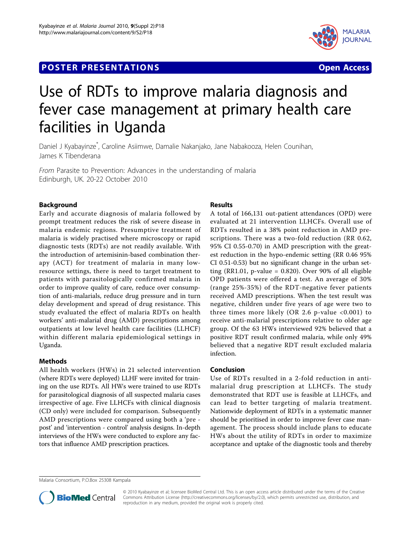# **POSTER PRESENTATIONS CONSUMING THE SECOND SECOND SECOND SECOND SECOND SECOND SECOND SECOND SECOND SECOND SECOND SECOND SECOND SECOND SECOND SECOND SECOND SECOND SECOND SECOND SECOND SECOND SECOND SECOND SECOND SECOND SE**



# Use of RDTs to improve malaria diagnosis and fever case management at primary health care facilities in Uganda

Daniel J Kyabayinze\* , Caroline Asiimwe, Damalie Nakanjako, Jane Nabakooza, Helen Counihan, James K Tibenderana

From Parasite to Prevention: Advances in the understanding of malaria Edinburgh, UK. 20-22 October 2010

## Background

Early and accurate diagnosis of malaria followed by prompt treatment reduces the risk of severe disease in malaria endemic regions. Presumptive treatment of malaria is widely practised where microscopy or rapid diagnostic tests (RDTs) are not readily available. With the introduction of artemisinin-based combination therapy (ACT) for treatment of malaria in many lowresource settings, there is need to target treatment to patients with parasitologically confirmed malaria in order to improve quality of care, reduce over consumption of anti-malarials, reduce drug pressure and in turn delay development and spread of drug resistance. This study evaluated the effect of malaria RDTs on health workers' anti-malarial drug (AMD) prescriptions among outpatients at low level health care facilities (LLHCF) within different malaria epidemiological settings in Uganda.

#### Methods

All health workers (HWs) in 21 selected intervention (where RDTs were deployed) LLHF were invited for training on the use RDTs. All HWs were trained to use RDTs for parasitological diagnosis of all suspected malaria cases irrespective of age. Five LLHCFs with clinical diagnosis (CD only) were included for comparison. Subsequently AMD prescriptions were compared using both a 'pre post' and 'intervention - control' analysis designs. In-depth interviews of the HWs were conducted to explore any factors that influence AMD prescription practices.

### Results

A total of 166,131 out-patient attendances (OPD) were evaluated at 21 intervention LLHCFs. Overall use of RDTs resulted in a 38% point reduction in AMD prescriptions. There was a two-fold reduction (RR 0.62, 95% CI 0.55-0.70) in AMD prescription with the greatest reduction in the hypo-endemic setting (RR 0.46 95% CI 0.51-0.53) but no significant change in the urban setting (RR1.01, p-value =  $0.820$ ). Over 90% of all eligible OPD patients were offered a test. An average of 30% (range 25%-35%) of the RDT-negative fever patients received AMD prescriptions. When the test result was negative, children under five years of age were two to three times more likely (OR 2.6 p-value <0.001) to receive anti-malarial prescriptions relative to older age group. Of the 63 HWs interviewed 92% believed that a positive RDT result confirmed malaria, while only 49% believed that a negative RDT result excluded malaria infection.

#### Conclusion

Use of RDTs resulted in a 2-fold reduction in antimalarial drug prescription at LLHCFs. The study demonstrated that RDT use is feasible at LLHCFs, and can lead to better targeting of malaria treatment. Nationwide deployment of RDTs in a systematic manner should be prioritised in order to improve fever case management. The process should include plans to educate HWs about the utility of RDTs in order to maximize acceptance and uptake of the diagnostic tools and thereby

Malaria Consortium, P.O.Box 25308 Kampala



© 2010 Kyabayinze et al; licensee BioMed Central Ltd. This is an open access article distributed under the terms of the Creative Commons Attribution License [\(http://creativecommons.org/licenses/by/2.0](http://creativecommons.org/licenses/by/2.0)), which permits unrestricted use, distribution, and reproduction in any medium, provided the original work is properly cited.